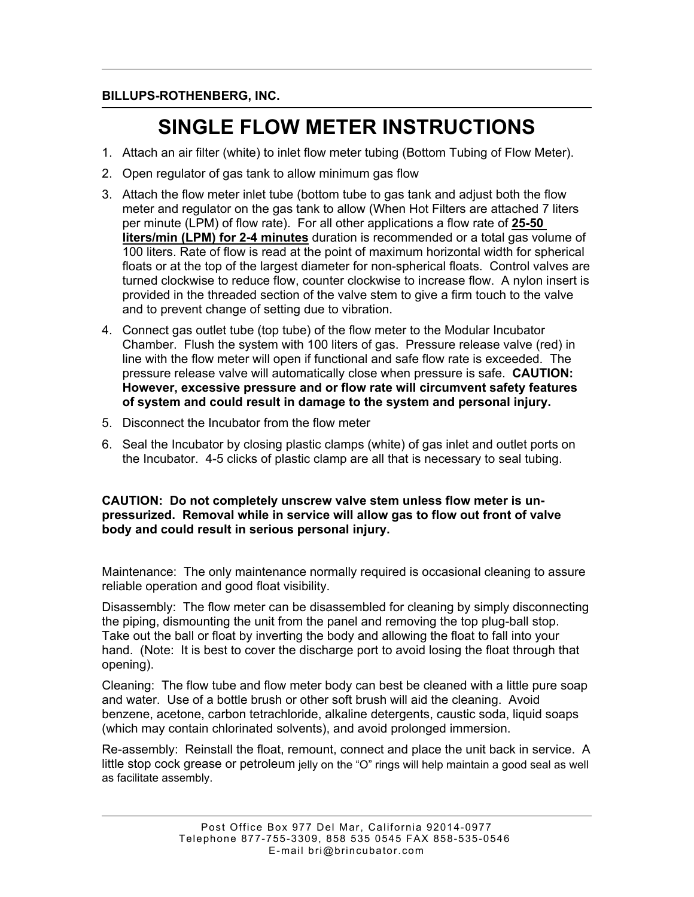### **BILLUPS-ROTHENBERG, INC.**

# **SINGLE FLOW METER INSTRUCTIONS**

- 1. Attach an air filter (white) to inlet flow meter tubing (Bottom Tubing of Flow Meter).
- 2. Open regulator of gas tank to allow minimum gas flow
- 3. Attach the flow meter inlet tube (bottom tube to gas tank and adjust both the flow meter and regulator on the gas tank to allow (When Hot Filters are attached 7 liters per minute (LPM) of flow rate). For all other applications a flow rate of **25-50 liters/min (LPM) for 2-4 minutes** duration is recommended or a total gas volume of 100 liters. Rate of flow is read at the point of maximum horizontal width for spherical floats or at the top of the largest diameter for non-spherical floats. Control valves are turned clockwise to reduce flow, counter clockwise to increase flow. A nylon insert is provided in the threaded section of the valve stem to give a firm touch to the valve and to prevent change of setting due to vibration.
- 4. Connect gas outlet tube (top tube) of the flow meter to the Modular Incubator Chamber. Flush the system with 100 liters of gas. Pressure release valve (red) in line with the flow meter will open if functional and safe flow rate is exceeded. The pressure release valve will automatically close when pressure is safe. **CAUTION: However, excessive pressure and or flow rate will circumvent safety features of system and could result in damage to the system and personal injury.**
- 5. Disconnect the Incubator from the flow meter
- 6. Seal the Incubator by closing plastic clamps (white) of gas inlet and outlet ports on the Incubator. 4-5 clicks of plastic clamp are all that is necessary to seal tubing.

**CAUTION: Do not completely unscrew valve stem unless flow meter is unpressurized. Removal while in service will allow gas to flow out front of valve body and could result in serious personal injury.**

Maintenance: The only maintenance normally required is occasional cleaning to assure reliable operation and good float visibility.

Disassembly: The flow meter can be disassembled for cleaning by simply disconnecting the piping, dismounting the unit from the panel and removing the top plug-ball stop. Take out the ball or float by inverting the body and allowing the float to fall into your hand. (Note: It is best to cover the discharge port to avoid losing the float through that opening).

Cleaning: The flow tube and flow meter body can best be cleaned with a little pure soap and water. Use of a bottle brush or other soft brush will aid the cleaning. Avoid benzene, acetone, carbon tetrachloride, alkaline detergents, caustic soda, liquid soaps (which may contain chlorinated solvents), and avoid prolonged immersion.

Re-assembly: Reinstall the float, remount, connect and place the unit back in service. A little stop cock grease or petroleum jelly on the "O" rings will help maintain a good seal as well as facilitate assembly.